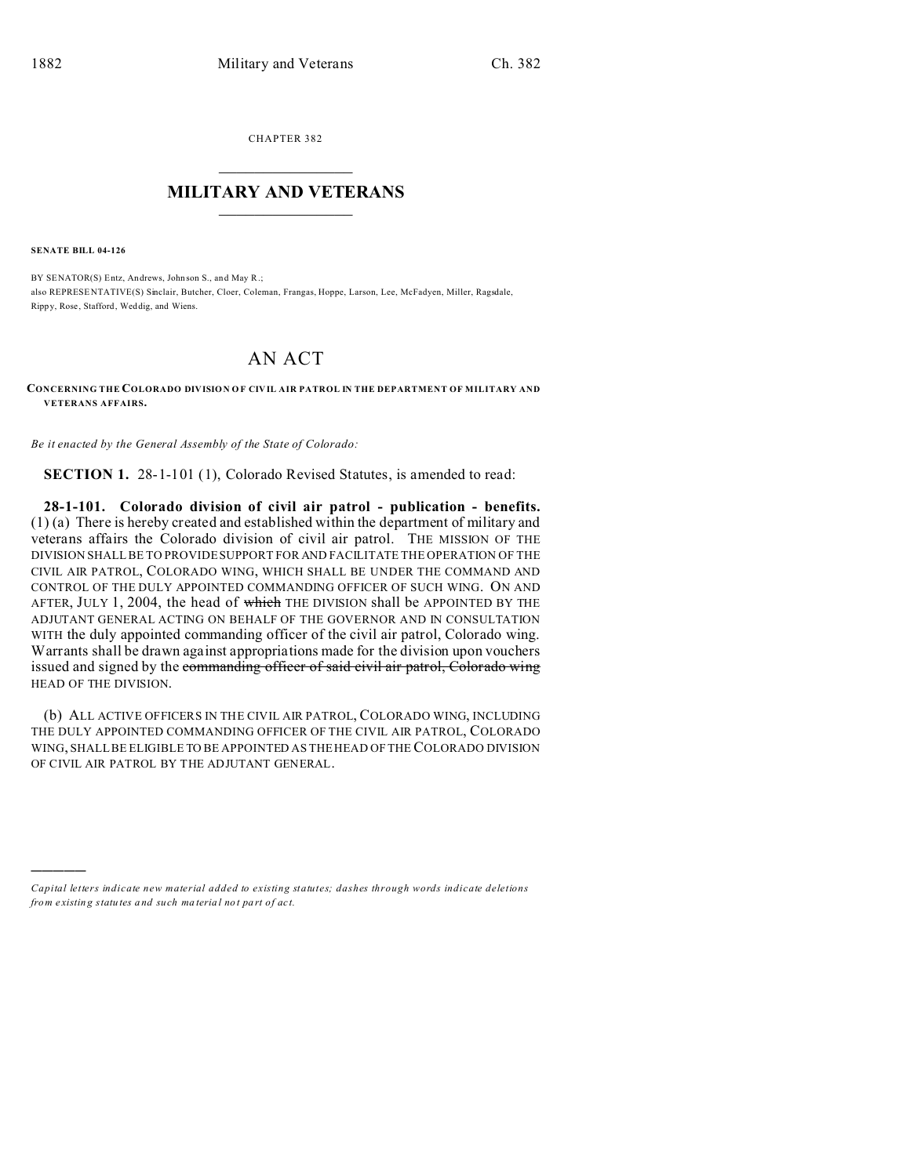CHAPTER 382  $\overline{\phantom{a}}$  , where  $\overline{\phantom{a}}$ 

## **MILITARY AND VETERANS**  $\_$

**SENATE BILL 04-126**

)))))

BY SENATOR(S) Entz, Andrews, Johnson S., and May R.; also REPRESE NTATIVE(S) Sinclair, Butcher, Cloer, Coleman, Frangas, Hoppe, Larson, Lee, McFadyen, Miller, Ragsdale, Rippy, Rose, Stafford, Weddig, and Wiens.

## AN ACT

**CONCERNING THE COLORADO DIVISION OF CIVIL AIR PATROL IN THE DEPARTMENT OF MILITARY AND VETERANS AFFAIRS.**

*Be it enacted by the General Assembly of the State of Colorado:*

**SECTION 1.** 28-1-101 (1), Colorado Revised Statutes, is amended to read:

**28-1-101. Colorado division of civil air patrol - publication - benefits.** (1) (a) There is hereby created and established within the department of military and veterans affairs the Colorado division of civil air patrol. THE MISSION OF THE DIVISION SHALL BE TO PROVIDE SUPPORT FOR AND FACILITATE THE OPERATION OF THE CIVIL AIR PATROL, COLORADO WING, WHICH SHALL BE UNDER THE COMMAND AND CONTROL OF THE DULY APPOINTED COMMANDING OFFICER OF SUCH WING. ON AND AFTER, JULY 1, 2004, the head of which THE DIVISION shall be APPOINTED BY THE ADJUTANT GENERAL ACTING ON BEHALF OF THE GOVERNOR AND IN CONSULTATION WITH the duly appointed commanding officer of the civil air patrol, Colorado wing. Warrants shall be drawn against appropriations made for the division upon vouchers issued and signed by the commanding officer of said civil air patrol, Colorado wing HEAD OF THE DIVISION.

(b) ALL ACTIVE OFFICERS IN THE CIVIL AIR PATROL, COLORADO WING, INCLUDING THE DULY APPOINTED COMMANDING OFFICER OF THE CIVIL AIR PATROL, COLORADO WING, SHALL BE ELIGIBLE TO BE APPOINTED AS THE HEAD OF THE COLORADO DIVISION OF CIVIL AIR PATROL BY THE ADJUTANT GENERAL.

*Capital letters indicate new material added to existing statutes; dashes through words indicate deletions from e xistin g statu tes a nd such ma teria l no t pa rt of ac t.*